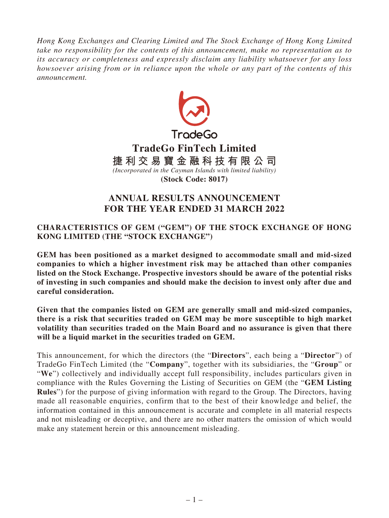*Hong Kong Exchanges and Clearing Limited and The Stock Exchange of Hong Kong Limited take no responsibility for the contents of this announcement, make no representation as to its accuracy or completeness and expressly disclaim any liability whatsoever for any loss howsoever arising from or in reliance upon the whole or any part of the contents of this announcement.*



# **ANNUAL RESULTS ANNOUNCEMENT FOR THE YEAR ENDED 31 MARCH 2022**

# **CHARACTERISTICS OF GEM ("GEM") OF THE STOCK EXCHANGE OF HONG KONG LIMITED (THE "STOCK EXCHANGE")**

**GEM has been positioned as a market designed to accommodate small and mid-sized companies to which a higher investment risk may be attached than other companies listed on the Stock Exchange. Prospective investors should be aware of the potential risks of investing in such companies and should make the decision to invest only after due and careful consideration.**

**Given that the companies listed on GEM are generally small and mid-sized companies, there is a risk that securities traded on GEM may be more susceptible to high market volatility than securities traded on the Main Board and no assurance is given that there will be a liquid market in the securities traded on GEM.**

This announcement, for which the directors (the "**Directors**", each being a "**Director**") of TradeGo FinTech Limited (the "**Company**", together with its subsidiaries, the "**Group**" or "**We**") collectively and individually accept full responsibility, includes particulars given in compliance with the Rules Governing the Listing of Securities on GEM (the "**GEM Listing Rules**") for the purpose of giving information with regard to the Group. The Directors, having made all reasonable enquiries, confirm that to the best of their knowledge and belief, the information contained in this announcement is accurate and complete in all material respects and not misleading or deceptive, and there are no other matters the omission of which would make any statement herein or this announcement misleading.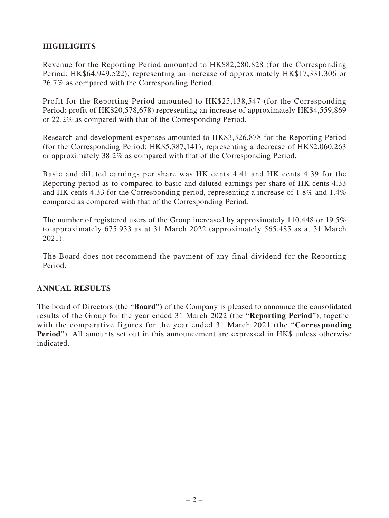# **HIGHLIGHTS**

Revenue for the Reporting Period amounted to HK\$82,280,828 (for the Corresponding Period: HK\$64,949,522), representing an increase of approximately HK\$17,331,306 or 26.7% as compared with the Corresponding Period.

Profit for the Reporting Period amounted to HK\$25,138,547 (for the Corresponding Period: profit of HK\$20,578,678) representing an increase of approximately HK\$4,559,869 or 22.2% as compared with that of the Corresponding Period.

Research and development expenses amounted to HK\$3,326,878 for the Reporting Period (for the Corresponding Period: HK\$5,387,141), representing a decrease of HK\$2,060,263 or approximately 38.2% as compared with that of the Corresponding Period.

Basic and diluted earnings per share was HK cents 4.41 and HK cents 4.39 for the Reporting period as to compared to basic and diluted earnings per share of HK cents 4.33 and HK cents 4.33 for the Corresponding period, representing a increase of 1.8% and 1.4% compared as compared with that of the Corresponding Period.

The number of registered users of the Group increased by approximately 110,448 or 19.5% to approximately 675,933 as at 31 March 2022 (approximately 565,485 as at 31 March 2021).

The Board does not recommend the payment of any final dividend for the Reporting Period.

# **ANNUAL RESULTS**

The board of Directors (the "**Board**") of the Company is pleased to announce the consolidated results of the Group for the year ended 31 March 2022 (the "**Reporting Period**"), together with the comparative figures for the year ended 31 March 2021 (the "**Corresponding Period**"). All amounts set out in this announcement are expressed in HK\$ unless otherwise indicated.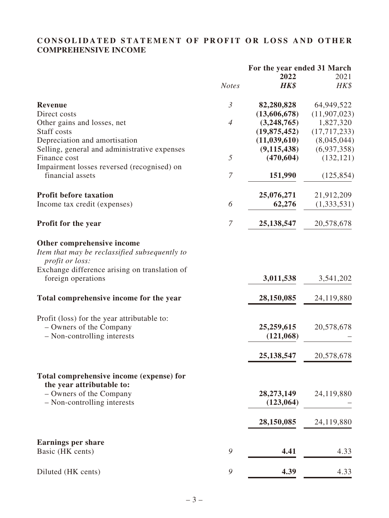# **CONSOLIDATED STATEMENT OF PROFIT OR LOSS AND OTHER COMPREHENSIVE INCOME**

|                                                                                                                                                        |                  | For the year ended 31 March |                |
|--------------------------------------------------------------------------------------------------------------------------------------------------------|------------------|-----------------------------|----------------|
|                                                                                                                                                        |                  | 2022                        | 2021           |
|                                                                                                                                                        | <b>Notes</b>     | HK\$                        | HK\$           |
| <b>Revenue</b>                                                                                                                                         | $\mathfrak{Z}$   | 82,280,828                  | 64,949,522     |
| Direct costs                                                                                                                                           |                  | (13,606,678)                | (11,907,023)   |
| Other gains and losses, net                                                                                                                            | $\overline{4}$   | (3,248,765)                 | 1,827,320      |
| Staff costs                                                                                                                                            |                  | (19, 875, 452)              | (17, 717, 233) |
| Depreciation and amortisation                                                                                                                          |                  | (11, 039, 610)              | (8,045,044)    |
| Selling, general and administrative expenses                                                                                                           |                  | (9, 115, 438)               | (6,937,358)    |
| Finance cost                                                                                                                                           | 5                | (470, 604)                  | (132, 121)     |
| Impairment losses reversed (recognised) on                                                                                                             |                  |                             |                |
| financial assets                                                                                                                                       | 7                | 151,990                     | (125, 854)     |
| <b>Profit before taxation</b>                                                                                                                          |                  | 25,076,271                  | 21,912,209     |
| Income tax credit (expenses)                                                                                                                           | 6                | 62,276                      | (1,333,531)    |
| Profit for the year                                                                                                                                    | $\boldsymbol{7}$ | 25, 138, 547                | 20,578,678     |
| Other comprehensive income<br>Item that may be reclassified subsequently to<br><i>profit or loss:</i><br>Exchange difference arising on translation of |                  |                             |                |
| foreign operations                                                                                                                                     |                  | 3,011,538                   | 3,541,202      |
| Total comprehensive income for the year                                                                                                                |                  | 28,150,085                  | 24,119,880     |
| Profit (loss) for the year attributable to:                                                                                                            |                  |                             |                |
| - Owners of the Company<br>- Non-controlling interests                                                                                                 |                  | 25,259,615<br>(121,068)     | 20,578,678     |
|                                                                                                                                                        |                  | 25, 138, 547                | 20,578,678     |
|                                                                                                                                                        |                  |                             |                |
| Total comprehensive income (expense) for<br>the year attributable to:                                                                                  |                  |                             |                |
| - Owners of the Company                                                                                                                                |                  | 28,273,149                  | 24,119,880     |
| - Non-controlling interests                                                                                                                            |                  | (123,064)                   |                |
|                                                                                                                                                        |                  | 28,150,085                  | 24,119,880     |
|                                                                                                                                                        |                  |                             |                |
| <b>Earnings per share</b><br>Basic (HK cents)                                                                                                          | 9                | 4.41                        | 4.33           |
|                                                                                                                                                        |                  |                             |                |
| Diluted (HK cents)                                                                                                                                     | 9                | 4.39                        | 4.33           |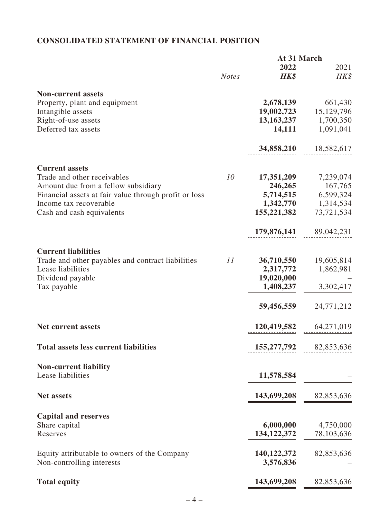# **CONSOLIDATED STATEMENT OF FINANCIAL POSITION**

|                                                       |              | At 31 March   |            |
|-------------------------------------------------------|--------------|---------------|------------|
|                                                       |              | 2022          | 2021       |
|                                                       | <b>Notes</b> | HK\$          | HK\$       |
| <b>Non-current assets</b>                             |              |               |            |
| Property, plant and equipment                         |              | 2,678,139     | 661,430    |
| Intangible assets                                     |              | 19,002,723    | 15,129,796 |
| Right-of-use assets                                   |              | 13,163,237    | 1,700,350  |
| Deferred tax assets                                   |              | 14,111        | 1,091,041  |
|                                                       |              |               |            |
|                                                       |              | 34,858,210    | 18,582,617 |
| <b>Current assets</b>                                 |              |               |            |
| Trade and other receivables                           | 10           | 17,351,209    | 7,239,074  |
| Amount due from a fellow subsidiary                   |              | 246,265       | 167,765    |
| Financial assets at fair value through profit or loss |              | 5,714,515     | 6,599,324  |
| Income tax recoverable                                |              | 1,342,770     | 1,314,534  |
| Cash and cash equivalents                             |              | 155,221,382   | 73,721,534 |
|                                                       |              |               |            |
|                                                       |              | 179,876,141   | 89,042,231 |
| <b>Current liabilities</b>                            |              |               |            |
| Trade and other payables and contract liabilities     | 11           | 36,710,550    | 19,605,814 |
| Lease liabilities                                     |              | 2,317,772     | 1,862,981  |
|                                                       |              |               |            |
| Dividend payable                                      |              | 19,020,000    |            |
| Tax payable                                           |              | 1,408,237     | 3,302,417  |
|                                                       |              | 59,456,559    | 24,771,212 |
|                                                       |              |               |            |
| <b>Net current assets</b>                             |              | 120,419,582   | 64,271,019 |
| <b>Total assets less current liabilities</b>          |              | 155,277,792   | 82,853,636 |
|                                                       |              |               |            |
| <b>Non-current liability</b>                          |              |               |            |
| Lease liabilities                                     |              | 11,578,584    |            |
| <b>Net assets</b>                                     |              | 143,699,208   | 82,853,636 |
|                                                       |              |               |            |
| <b>Capital and reserves</b>                           |              |               |            |
| Share capital                                         |              | 6,000,000     | 4,750,000  |
| Reserves                                              |              | 134, 122, 372 | 78,103,636 |
| Equity attributable to owners of the Company          |              | 140,122,372   | 82,853,636 |
| Non-controlling interests                             |              | 3,576,836     |            |
|                                                       |              |               |            |
| <b>Total equity</b>                                   |              | 143,699,208   | 82,853,636 |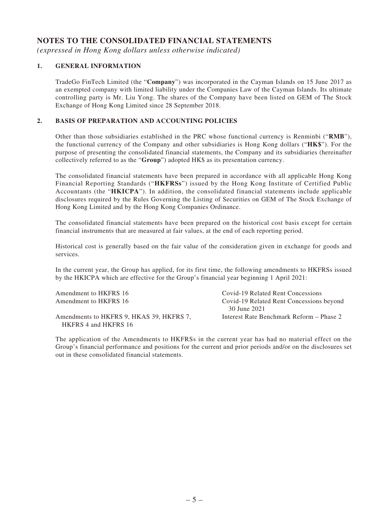## **NOTES TO THE CONSOLIDATED FINANCIAL STATEMENTS**

*(expressed in Hong Kong dollars unless otherwise indicated)*

#### **1. GENERAL INFORMATION**

TradeGo FinTech Limited (the "**Company**") was incorporated in the Cayman Islands on 15 June 2017 as an exempted company with limited liability under the Companies Law of the Cayman Islands. Its ultimate controlling party is Mr. Liu Yong. The shares of the Company have been listed on GEM of The Stock Exchange of Hong Kong Limited since 28 September 2018.

#### **2. BASIS OF PREPARATION AND ACCOUNTING POLICIES**

Other than those subsidiaries established in the PRC whose functional currency is Renminbi ("**RMB**"), the functional currency of the Company and other subsidiaries is Hong Kong dollars ("**HK\$**"). For the purpose of presenting the consolidated financial statements, the Company and its subsidiaries (hereinafter collectively referred to as the "**Group**") adopted HK\$ as its presentation currency.

The consolidated financial statements have been prepared in accordance with all applicable Hong Kong Financial Reporting Standards ("**HKFRSs**") issued by the Hong Kong Institute of Certified Public Accountants (the "**HKICPA**"). In addition, the consolidated financial statements include applicable disclosures required by the Rules Governing the Listing of Securities on GEM of The Stock Exchange of Hong Kong Limited and by the Hong Kong Companies Ordinance.

The consolidated financial statements have been prepared on the historical cost basis except for certain financial instruments that are measured at fair values, at the end of each reporting period.

Historical cost is generally based on the fair value of the consideration given in exchange for goods and services.

In the current year, the Group has applied, for its first time, the following amendments to HKFRSs issued by the HKICPA which are effective for the Group's financial year beginning 1 April 2021:

| Amendment to HKFRS 16                    | Covid-19 Related Rent Concessions        |
|------------------------------------------|------------------------------------------|
| Amendment to HKFRS 16                    | Covid-19 Related Rent Concessions beyond |
|                                          | 30 June 2021                             |
| Amendments to HKFRS 9, HKAS 39, HKFRS 7, | Interest Rate Benchmark Reform – Phase 2 |
| HKFRS 4 and HKFRS 16                     |                                          |

The application of the Amendments to HKFRSs in the current year has had no material effect on the Group's financial performance and positions for the current and prior periods and/or on the disclosures set out in these consolidated financial statements.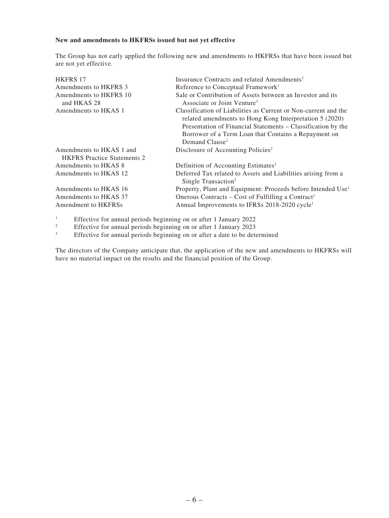#### **New and amendments to HKFRSs issued but not yet effective**

The Group has not early applied the following new and amendments to HKFRSs that have been issued but are not yet effective.

| <b>HKFRS 17</b>                                                | Insurance Contracts and related Amendments <sup>2</sup>                                                                                                                                                                                                                          |
|----------------------------------------------------------------|----------------------------------------------------------------------------------------------------------------------------------------------------------------------------------------------------------------------------------------------------------------------------------|
| Amendments to HKFRS 3                                          | Reference to Conceptual Framework <sup>1</sup>                                                                                                                                                                                                                                   |
| Amendments to HKFRS 10<br>and HKAS 28                          | Sale or Contribution of Assets between an Investor and its<br>Associate or Joint Venture <sup>3</sup>                                                                                                                                                                            |
| Amendments to HKAS 1                                           | Classification of Liabilities as Current or Non-current and the<br>related amendments to Hong Kong Interpretation 5 (2020)<br>Presentation of Financial Statements - Classification by the<br>Borrower of a Term Loan that Contains a Repayment on<br>Demand Clause <sup>2</sup> |
| Amendments to HKAS 1 and<br><b>HKFRS</b> Practice Statements 2 | Disclosure of Accounting Policies <sup>2</sup>                                                                                                                                                                                                                                   |
| Amendments to HKAS 8                                           | Definition of Accounting Estimates <sup>2</sup>                                                                                                                                                                                                                                  |
| Amendments to HKAS 12                                          | Deferred Tax related to Assets and Liabilities arising from a<br>Single Transaction <sup>2</sup>                                                                                                                                                                                 |
| Amendments to HKAS 16                                          | Property, Plant and Equipment: Proceeds before Intended Use <sup>1</sup>                                                                                                                                                                                                         |
| Amendments to HKAS 37                                          | Onerous Contracts – Cost of Fulfilling a Contract <sup>1</sup>                                                                                                                                                                                                                   |
| Amendment to HKFRSs                                            | Annual Improvements to IFRSs 2018-2020 cycle <sup>1</sup>                                                                                                                                                                                                                        |

1 Effective for annual periods beginning on or after 1 January 2022

2 Effective for annual periods beginning on or after 1 January 2023

3 Effective for annual periods beginning on or after a date to be determined

The directors of the Company anticipate that, the application of the new and amendments to HKFRSs will have no material impact on the results and the financial position of the Group.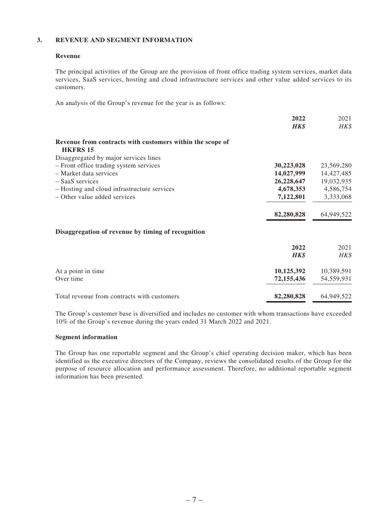#### **3. REVENUE AND SEGMENT INFORMATION**

#### **Revenue**

The principal activities of the Group are the provision of front office trading system services, market data services, SaaS services, hosting and cloud infrastructure services and other value added services to its customers.

An analysis of the Group's revenue for the year is as follows:

| 2022                                                                         | 2021       |
|------------------------------------------------------------------------------|------------|
| <b>HK\$</b>                                                                  | HK\$       |
| Revenue from contracts with customers within the scope of<br><b>HKFRS 15</b> |            |
| Disaggregated by major services lines                                        |            |
| - Front office trading system services<br>30,223,028                         | 23,569,280 |
| 14,027,999<br>- Market data services                                         | 14,427,485 |
| 26,228,647<br>$-$ SaaS services                                              | 19,032,935 |
| 4,678,353<br>- Hosting and cloud infrastructure services                     | 4,586,754  |
| - Other value added services<br>7,122,801                                    | 3,333,068  |
| 82,280,828                                                                   | 64,949,522 |
| Disaggregation of revenue by timing of recognition                           |            |
| 2022                                                                         | 2021       |
| <b>HK\$</b>                                                                  | HK\$       |
| 10,125,392<br>At a point in time                                             | 10,389,591 |
| Over time<br>72,155,436                                                      | 54,559,931 |
| Total revenue from contracts with customers<br>82,280,828                    | 64,949,522 |

The Group's customer base is diversified and includes no customer with whom transactions have exceeded 10% of the Group's revenue during the years ended 31 March 2022 and 2021.

#### **Segment information**

The Group has one reportable segment and the Group's chief operating decision maker, which has been identified as the executive directors of the Company, reviews the consolidated results of the Group for the purpose of resource allocation and performance assessment. Therefore, no additional reportable segment information has been presented.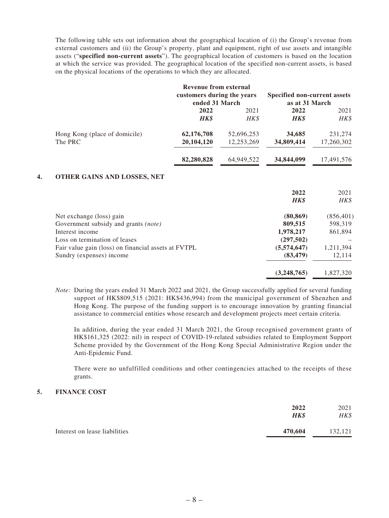The following table sets out information about the geographical location of (i) the Group's revenue from external customers and (ii) the Group's property, plant and equipment, right of use assets and intangible assets ("**specified non-current assets**"). The geographical location of customers is based on the location at which the service was provided. The geographical location of the specified non-current assets, is based on the physical locations of the operations to which they are allocated.

|                               | Revenue from external<br>customers during the years<br>ended 31 March |            | Specified non-current assets<br>as at 31 March |            |
|-------------------------------|-----------------------------------------------------------------------|------------|------------------------------------------------|------------|
|                               | 2022                                                                  | 2021       | 2022                                           | 2021       |
|                               | <b>HK\$</b>                                                           | HK\$       | <b>HK\$</b>                                    | HK\$       |
| Hong Kong (place of domicile) | 62,176,708                                                            | 52,696,253 | 34,685                                         | 231,274    |
| The PRC                       | 20, 104, 120                                                          | 12,253,269 | 34,809,414                                     | 17,260,302 |
|                               | 82,280,828                                                            | 64,949,522 | 34,844,099                                     | 17,491,576 |

#### **4. OTHER GAINS AND LOSSES, NET**

|                                                     | 2022<br><b>HK\$</b> | 2021<br>HK\$ |
|-----------------------------------------------------|---------------------|--------------|
| Net exchange (loss) gain                            | (80, 869)           | (856, 401)   |
| Government subsidy and grants <i>(note)</i>         | 809,515             | 598,319      |
| Interest income                                     | 1,978,217           | 861,894      |
| Loss on termination of leases                       | (297,502)           |              |
| Fair value gain (loss) on financial assets at FVTPL | (5,574,647)         | 1,211,394    |
| Sundry (expenses) income                            | (83, 479)           | 12,114       |
|                                                     | (3,248,765)         | 1,827,320    |

*Note:* During the years ended 31 March 2022 and 2021, the Group successfully applied for several funding support of HK\$809,515 (2021: HK\$436,994) from the municipal government of Shenzhen and Hong Kong. The purpose of the funding support is to encourage innovation by granting financial assistance to commercial entities whose research and development projects meet certain criteria.

In addition, during the year ended 31 March 2021, the Group recognised government grants of HK\$161,325 (2022: nil) in respect of COVID-19-related subsidies related to Employment Support Scheme provided by the Government of the Hong Kong Special Administrative Region under the Anti-Epidemic Fund.

There were no unfulfilled conditions and other contingencies attached to the receipts of these grants.

#### **5. FINANCE COST**

| 2022                                     | 2021    |
|------------------------------------------|---------|
| <b>HK\$</b>                              | HK\$    |
| Interest on lease liabilities<br>470.604 | 132,121 |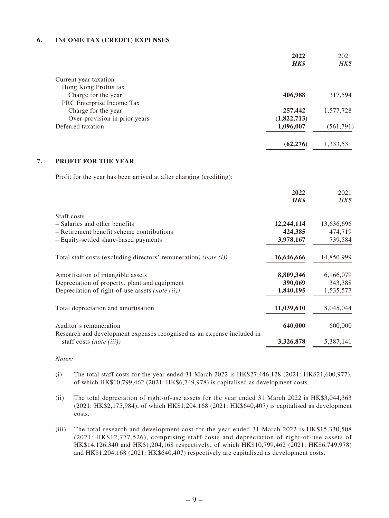#### **6. INCOME TAX (CREDIT) EXPENSES**

|                                                                                                    | 2022<br><b>HK\$</b> | 2021<br>HK\$ |
|----------------------------------------------------------------------------------------------------|---------------------|--------------|
| Current year taxation                                                                              |                     |              |
| Hong Kong Profits tax                                                                              |                     |              |
| Charge for the year                                                                                | 406,988             | 317,594      |
| PRC Enterprise Income Tax                                                                          |                     |              |
| Charge for the year                                                                                | 257,442             | 1,577,728    |
| Over-provision in prior years                                                                      | (1,822,713)         |              |
| Deferred taxation                                                                                  | 1,096,007           | (561,791)    |
|                                                                                                    | (62, 276)           | 1,333,531    |
| 7.<br><b>PROFIT FOR THE YEAR</b>                                                                   |                     |              |
| Profit for the year has been arrived at after charging (crediting):                                |                     |              |
|                                                                                                    | 2022                | 2021         |
|                                                                                                    | <b>HK\$</b>         | HK\$         |
| Staff costs                                                                                        |                     |              |
| - Salaries and other benefits                                                                      | 12,244,114          | 13,636,696   |
| - Retirement benefit scheme contributions                                                          | 424,385             | 474,719      |
| - Equity-settled share-based payments                                                              | 3,978,167           | 739,584      |
| Total staff costs (excluding directors' remuneration) (note $(i)$ )                                | 16,646,666          | 14,850,999   |
| Amortisation of intangible assets                                                                  | 8,809,346           | 6,166,079    |
| Depreciation of property, plant and equipment                                                      | 390,069             | 343,388      |
| Depreciation of right-of-use assets (note (ii))                                                    | 1,840,195           | 1,535,577    |
| Total depreciation and amortisation                                                                | 11,039,610          | 8,045,044    |
| Auditor's remuneration                                                                             | 640,000             | 600,000      |
| Research and development expenses recognised as an expense included in<br>staff costs (note (iii)) | 3,326,878           | 5,387,141    |

*Notes:*

- (i) The total staff costs for the year ended 31 March 2022 is HK\$27,446,128 (2021: HK\$21,600,977), of which HK\$10,799,462 (2021: HK\$6,749,978) is capitalised as development costs.
- (ii) The total depreciation of right-of-use assets for the year ended 31 March 2022 is HK\$3,044,363 (2021: HK\$2,175,984), of which HK\$1,204,168 (2021: HK\$640,407) is capitalised as development costs.
- (iii) The total research and development cost for the year ended 31 March 2022 is HK\$15,330,508 (2021: HK\$12,777,526), comprising staff costs and depreciation of right-of-use assets of HK\$14,126,340 and HK\$1,204,168 respectively, of which HK\$10,799,462 (2021: HK\$6,749,978) and HK\$1,204,168 (2021: HK\$640,407) respectively are capitalised as development costs.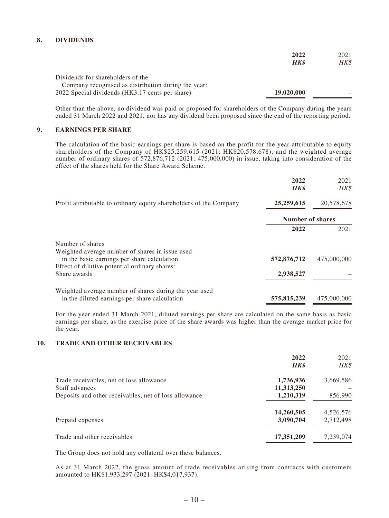#### **8. DIVIDENDS**

|                                                     | 2022        | 2021 |
|-----------------------------------------------------|-------------|------|
|                                                     | <b>HK\$</b> | HK\$ |
| Dividends for shareholders of the                   |             |      |
| Company recognised as distribution during the year: |             |      |
| 2022 Special dividends (HK3.17 cents per share)     | 19,020,000  |      |

Other than the above, no dividend was paid or proposed for shareholders of the Company during the years ended 31 March 2022 and 2021, nor has any dividend been proposed since the end of the reporting period.

#### **9. EARNINGS PER SHARE**

The calculation of the basic earnings per share is based on the profit for the year attributable to equity shareholders of the Company of HK\$25,259,615 (2021: HK\$20,578,678), and the weighted average number of ordinary shares of 572,876,712 (2021: 475,000,000) in issue, taking into consideration of the effect of the shares held for the Share Award Scheme.

|                                                                                                | 2022<br><b>HK\$</b>     | 2021<br>HK\$ |
|------------------------------------------------------------------------------------------------|-------------------------|--------------|
| Profit attributable to ordinary equity shareholders of the Company                             | 25,259,615              | 20,578,678   |
|                                                                                                | <b>Number of shares</b> |              |
|                                                                                                | 2022                    | 2021         |
| Number of shares                                                                               |                         |              |
| Weighted average number of shares in issue used<br>in the basic earnings per share calculation | 572,876,712             | 475,000,000  |
| Effect of dilutive potential ordinary shares:                                                  |                         |              |
| Share awards                                                                                   | 2,938,527               |              |
| Weighted average number of shares during the year used                                         |                         |              |
| in the diluted earnings per share calculation                                                  | 575,815,239             | 475,000,000  |

For the year ended 31 March 2021, diluted earnings per share are calculated on the same basis as basic earnings per share, as the exercise price of the share awards was higher than the average market price for the year.

#### **10. TRADE AND OTHER RECEIVABLES**

| 2022<br><b>HK\$</b> | 2021<br>HK\$ |
|---------------------|--------------|
| 1,736,936           | 3,669,586    |
| 11,313,250          |              |
| 1,210,319           | 856,990      |
| 14,260,505          | 4,526,576    |
| 3,090,704           | 2,712,498    |
| 17,351,209          | 7,239,074    |
|                     |              |

The Group does not hold any collateral over these balances.

As at 31 March 2022, the gross amount of trade receivables arising from contracts with customers amounted to HK\$1,933,297 (2021: HK\$4,017,937).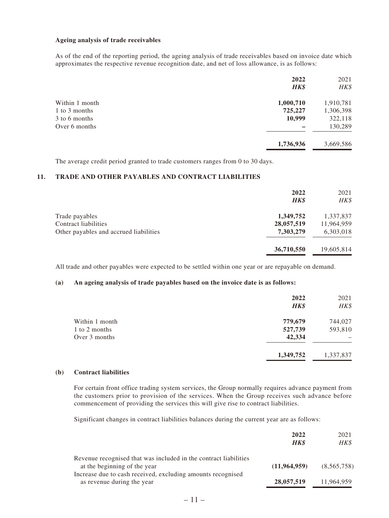#### **Ageing analysis of trade receivables**

As of the end of the reporting period, the ageing analysis of trade receivables based on invoice date which approximates the respective revenue recognition date, and net of loss allowance, is as follows:

|                | 2022<br><b>HK\$</b> | 2021<br>HK\$ |
|----------------|---------------------|--------------|
| Within 1 month | 1,000,710           | 1,910,781    |
| 1 to 3 months  | 725,227             | 1,306,398    |
| 3 to 6 months  | 10,999              | 322,118      |
| Over 6 months  |                     | 130,289      |
|                | 1,736,936           | 3,669,586    |

The average credit period granted to trade customers ranges from 0 to 30 days.

#### **11. TRADE AND OTHER PAYABLES AND CONTRACT LIABILITIES**

|                                        | 2022<br><b>HK\$</b> | 2021<br>HK\$ |
|----------------------------------------|---------------------|--------------|
| Trade payables                         | 1,349,752           | 1,337,837    |
| Contract liabilities                   | 28,057,519          | 11,964,959   |
| Other payables and accrued liabilities | 7,303,279           | 6,303,018    |
|                                        | 36,710,550          | 19,605,814   |

All trade and other payables were expected to be settled within one year or are repayable on demand.

#### **(a) An ageing analysis of trade payables based on the invoice date is as follows:**

|                | 2022<br>HK\$ | 2021<br>HK\$ |
|----------------|--------------|--------------|
| Within 1 month | 779,679      | 744,027      |
| 1 to 2 months  | 527,739      | 593,810      |
| Over 3 months  | 42,334       |              |
|                | 1,349,752    | 1,337,837    |

#### **(b) Contract liabilities**

For certain front office trading system services, the Group normally requires advance payment from the customers prior to provision of the services. When the Group receives such advance before commencement of providing the services this will give rise to contract liabilities.

Significant changes in contract liabilities balances during the current year are as follows:

|                                                                  | 2022           | 2021        |
|------------------------------------------------------------------|----------------|-------------|
|                                                                  | <b>HK\$</b>    | HK\$        |
| Revenue recognised that was included in the contract liabilities |                |             |
| at the beginning of the year                                     | (11, 964, 959) | (8,565,758) |
| Increase due to cash received, excluding amounts recognised      |                |             |
| as revenue during the year                                       | 28,057,519     | 11,964,959  |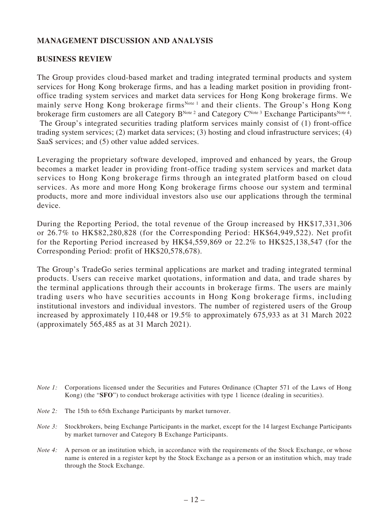## **MANAGEMENT DISCUSSION AND ANALYSIS**

## **BUSINESS REVIEW**

The Group provides cloud-based market and trading integrated terminal products and system services for Hong Kong brokerage firms, and has a leading market position in providing frontoffice trading system services and market data services for Hong Kong brokerage firms. We mainly serve Hong Kong brokerage firms<sup>Note 1</sup> and their clients. The Group's Hong Kong brokerage firm customers are all Category  $B^{Note 2}$  and Category  $C^{Note 3}$  Exchange Participants<sup>Note 4</sup>. The Group's integrated securities trading platform services mainly consist of (1) front-office trading system services; (2) market data services; (3) hosting and cloud infrastructure services; (4) SaaS services; and (5) other value added services.

Leveraging the proprietary software developed, improved and enhanced by years, the Group becomes a market leader in providing front-office trading system services and market data services to Hong Kong brokerage firms through an integrated platform based on cloud services. As more and more Hong Kong brokerage firms choose our system and terminal products, more and more individual investors also use our applications through the terminal device.

During the Reporting Period, the total revenue of the Group increased by HK\$17,331,306 or 26.7% to HK\$82,280,828 (for the Corresponding Period: HK\$64,949,522). Net profit for the Reporting Period increased by HK\$4,559,869 or 22.2% to HK\$25,138,547 (for the Corresponding Period: profit of HK\$20,578,678).

The Group's TradeGo series terminal applications are market and trading integrated terminal products. Users can receive market quotations, information and data, and trade shares by the terminal applications through their accounts in brokerage firms. The users are mainly trading users who have securities accounts in Hong Kong brokerage firms, including institutional investors and individual investors. The number of registered users of the Group increased by approximately 110,448 or 19.5% to approximately 675,933 as at 31 March 2022 (approximately 565,485 as at 31 March 2021).

- *Note 1:* Corporations licensed under the Securities and Futures Ordinance (Chapter 571 of the Laws of Hong Kong) (the "**SFO**") to conduct brokerage activities with type 1 licence (dealing in securities).
- *Note 2:* The 15th to 65th Exchange Participants by market turnover.
- *Note 3*: Stockbrokers, being Exchange Participants in the market, except for the 14 largest Exchange Participants by market turnover and Category B Exchange Participants.
- *Note 4:* A person or an institution which, in accordance with the requirements of the Stock Exchange, or whose name is entered in a register kept by the Stock Exchange as a person or an institution which, may trade through the Stock Exchange.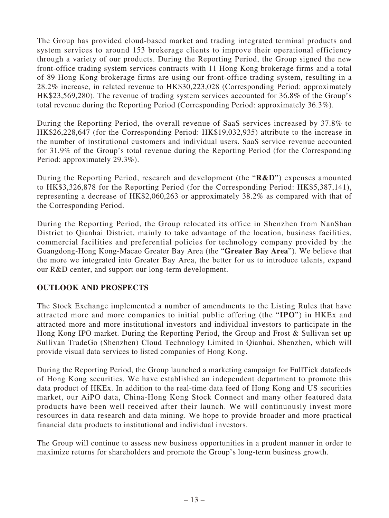The Group has provided cloud-based market and trading integrated terminal products and system services to around 153 brokerage clients to improve their operational efficiency through a variety of our products. During the Reporting Period, the Group signed the new front-office trading system services contracts with 11 Hong Kong brokerage firms and a total of 89 Hong Kong brokerage firms are using our front-office trading system, resulting in a 28.2% increase, in related revenue to HK\$30,223,028 (Corresponding Period: approximately HK\$23,569,280). The revenue of trading system services accounted for 36.8% of the Group's total revenue during the Reporting Period (Corresponding Period: approximately 36.3%).

During the Reporting Period, the overall revenue of SaaS services increased by 37.8% to HK\$26,228,647 (for the Corresponding Period: HK\$19,032,935) attribute to the increase in the number of institutional customers and individual users. SaaS service revenue accounted for 31.9% of the Group's total revenue during the Reporting Period (for the Corresponding Period: approximately 29.3%).

During the Reporting Period, research and development (the "**R&D**") expenses amounted to HK\$3,326,878 for the Reporting Period (for the Corresponding Period: HK\$5,387,141), representing a decrease of HK\$2,060,263 or approximately 38.2% as compared with that of the Corresponding Period.

During the Reporting Period, the Group relocated its office in Shenzhen from NanShan District to Qianhai District, mainly to take advantage of the location, business facilities, commercial facilities and preferential policies for technology company provided by the Guangdong-Hong Kong-Macao Greater Bay Area (the "**Greater Bay Area**"). We believe that the more we integrated into Greater Bay Area, the better for us to introduce talents, expand our R&D center, and support our long-term development.

# **OUTLOOK AND PROSPECTS**

The Stock Exchange implemented a number of amendments to the Listing Rules that have attracted more and more companies to initial public offering (the "**IPO**") in HKEx and attracted more and more institutional investors and individual investors to participate in the Hong Kong IPO market. During the Reporting Period, the Group and Frost & Sullivan set up Sullivan TradeGo (Shenzhen) Cloud Technology Limited in Qianhai, Shenzhen, which will provide visual data services to listed companies of Hong Kong.

During the Reporting Period, the Group launched a marketing campaign for FullTick datafeeds of Hong Kong securities. We have established an independent department to promote this data product of HKEx. In addition to the real-time data feed of Hong Kong and US securities market, our AiPO data, China-Hong Kong Stock Connect and many other featured data products have been well received after their launch. We will continuously invest more resources in data research and data mining. We hope to provide broader and more practical financial data products to institutional and individual investors.

The Group will continue to assess new business opportunities in a prudent manner in order to maximize returns for shareholders and promote the Group's long-term business growth.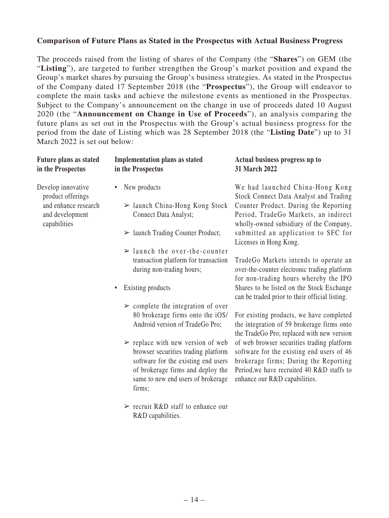## **Comparison of Future Plans as Stated in the Prospectus with Actual Business Progress**

The proceeds raised from the listing of shares of the Company (the "**Shares**") on GEM (the "**Listing**"), are targeted to further strengthen the Group's market position and expand the Group's market shares by pursuing the Group's business strategies. As stated in the Prospectus of the Company dated 17 September 2018 (the "**Prospectus**"), the Group will endeavor to complete the main tasks and achieve the milestone events as mentioned in the Prospectus. Subject to the Company's announcement on the change in use of proceeds dated 10 August 2020 (the "**Announcement on Change in Use of Proceeds**"), an analysis comparing the future plans as set out in the Prospectus with the Group's actual business progress for the period from the date of Listing which was 28 September 2018 (the "**Listing Date**") up to 31 March 2022 is set out below:

| <b>Future plans as stated</b><br>in the Prospectus      | <b>Implementation plans as stated</b><br>in the Prospectus                                                                                                                                                          | Actual business progress up to<br>31 March 2022                                                                                                                                                                 |
|---------------------------------------------------------|---------------------------------------------------------------------------------------------------------------------------------------------------------------------------------------------------------------------|-----------------------------------------------------------------------------------------------------------------------------------------------------------------------------------------------------------------|
| Develop innovative<br>product offerings                 | New products<br>$\bullet$                                                                                                                                                                                           | We had launched China-Hong Kong<br>Stock Connect Data Analyst and Trading                                                                                                                                       |
| and enhance research<br>and development<br>capabilities | $\triangleright$ launch China-Hong Kong Stock<br>Connect Data Analyst;                                                                                                                                              | Counter Product. During the Reporting<br>Period, TradeGo Markets, an indirect<br>wholly-owned subsidiary of the Company,                                                                                        |
|                                                         | $\triangleright$ launch Trading Counter Product;                                                                                                                                                                    | submitted an application to SFC for<br>Licenses in Hong Kong.                                                                                                                                                   |
|                                                         | $\ge$ launch the over-the-counter                                                                                                                                                                                   |                                                                                                                                                                                                                 |
|                                                         | transaction platform for transaction<br>during non-trading hours;                                                                                                                                                   | TradeGo Markets intends to operate an<br>over-the-counter electronic trading platform<br>for non-trading hours whereby the IPO                                                                                  |
|                                                         | Existing products<br>$\bullet$                                                                                                                                                                                      | Shares to be listed on the Stock Exchange<br>can be traded prior to their official listing.                                                                                                                     |
|                                                         | $\triangleright$ complete the integration of over                                                                                                                                                                   |                                                                                                                                                                                                                 |
|                                                         | 80 brokerage firms onto the iOS/<br>Android version of TradeGo Pro;                                                                                                                                                 | For existing products, we have completed<br>the integration of 59 brokerage firms onto<br>the TradeGo Pro; replaced with new version                                                                            |
|                                                         | $\triangleright$ replace with new version of web<br>browser securities trading platform<br>software for the existing end users<br>of brokerage firms and deploy the<br>same to new end users of brokerage<br>firms; | of web browser securities trading platform<br>software for the existing end users of 46<br>brokerage firms; During the Reporting<br>Period, we have recruited 40 R&D staffs to<br>enhance our R&D capabilities. |
|                                                         | $\triangleright$ recruit R&D staff to enhance our                                                                                                                                                                   |                                                                                                                                                                                                                 |

R&D capabilities.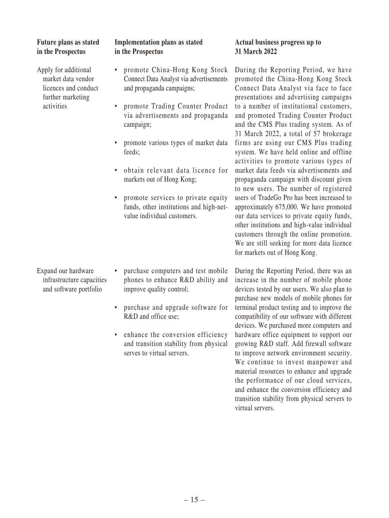## **Future plans as stated in the Prospectus**

Apply for additional market data vendor licences and conduct further marketing activities

Expand our hardware infrastructure capacities and software portfolio

## **Implementation plans as stated in the Prospectus**

- promote China-Hong Kong Stock Connect Data Analyst via advertisements and propaganda campaigns;
- promote Trading Counter Product via advertisements and propaganda campaign;
- promote various types of market data feeds;
- obtain relevant data licence for markets out of Hong Kong;
- promote services to private equity funds, other institutions and high-netvalue individual customers.
- purchase computers and test mobile phones to enhance R&D ability and improve quality control;
- purchase and upgrade software for R&D and office use;
- enhance the conversion efficiency and transition stability from physical serves to virtual servers.

## **Actual business progress up to 31 March 2022**

During the Reporting Period, we have promoted the China-Hong Kong Stock Connect Data Analyst via face to face presentations and advertising campaigns to a number of institutional customers, and promoted Trading Counter Product and the CMS Plus trading system. As of 31 March 2022, a total of 57 brokerage firms are using our CMS Plus trading system. We have held online and offline activities to promote various types of market data feeds via advertisements and propaganda campaign with discount given to new users. The number of registered users of TradeGo Pro has been increased to approximately 675,000. We have promoted our data services to private equity funds, other institutions and high-value individual customers through the online promotion. We are still seeking for more data licence for markets out of Hong Kong.

During the Reporting Period, there was an increase in the number of mobile phone devices tested by our users. We also plan to purchase new models of mobile phones for terminal product testing and to improve the compatibility of our software with different devices. We purchased more computers and hardware office equipment to support our growing R&D staff. Add firewall software to improve network environment security. We continue to invest manpower and material resources to enhance and upgrade the performance of our cloud services, and enhance the conversion efficiency and transition stability from physical servers to virtual servers.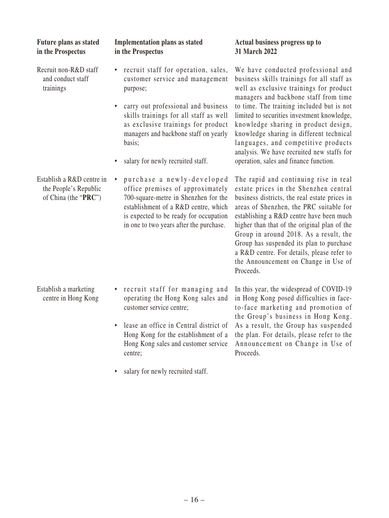| Future plans as stated<br>in the Prospectus                                | <b>Implementation plans as stated</b><br>in the Prospectus                                                                                                                                                                                                                                                          | Actual business progress up to<br>31 March 2022                                                                                                                                                                                                                                                                                                                                                                                                                                     |
|----------------------------------------------------------------------------|---------------------------------------------------------------------------------------------------------------------------------------------------------------------------------------------------------------------------------------------------------------------------------------------------------------------|-------------------------------------------------------------------------------------------------------------------------------------------------------------------------------------------------------------------------------------------------------------------------------------------------------------------------------------------------------------------------------------------------------------------------------------------------------------------------------------|
| Recruit non-R&D staff<br>and conduct staff<br>trainings                    | recruit staff for operation, sales,<br>٠<br>customer service and management<br>purpose;<br>carry out professional and business<br>$\bullet$<br>skills trainings for all staff as well<br>as exclusive trainings for product<br>managers and backbone staff on yearly<br>basis;<br>salary for newly recruited staff. | We have conducted professional and<br>business skills trainings for all staff as<br>well as exclusive trainings for product<br>managers and backbone staff from time<br>to time. The training included but is not<br>limited to securities investment knowledge,<br>knowledge sharing in product design,<br>knowledge sharing in different technical<br>languages, and competitive products<br>analysis. We have recruited new staffs for<br>operation, sales and finance function. |
| Establish a R&D centre in<br>the People's Republic<br>of China (the "PRC") | purchase a newly-developed<br>$\bullet$<br>office premises of approximately<br>700-square-metre in Shenzhen for the<br>establishment of a R&D centre, which<br>is expected to be ready for occupation<br>in one to two years after the purchase.                                                                    | The rapid and continuing rise in real<br>estate prices in the Shenzhen central<br>business districts, the real estate prices in<br>areas of Shenzhen, the PRC suitable for<br>establishing a R&D centre have been much<br>higher than that of the original plan of the<br>Group in around 2018. As a result, the<br>Group has suspended its plan to purchase<br>a R&D centre. For details, please refer to<br>the Announcement on Change in Use of<br>Proceeds.                     |
| Establish a marketing<br>centre in Hong Kong                               | recruit staff for managing and<br>$\bullet$<br>operating the Hong Kong sales and<br>customer service centre;<br>lease an office in Central district of<br>Hong Kong for the establishment of a<br>Hong Kong sales and customer service<br>centre;<br>• salary for newly recruited staff.                            | In this year, the widespread of COVID-19<br>in Hong Kong posed difficulties in face-<br>to-face marketing and promotion of<br>the Group's business in Hong Kong.<br>As a result, the Group has suspended<br>the plan. For details, please refer to the<br>Announcement on Change in Use of<br>Proceeds.                                                                                                                                                                             |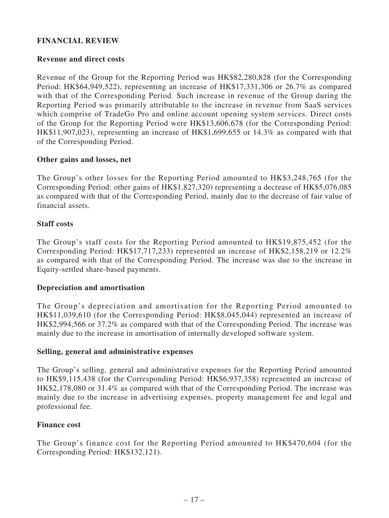## **FINANCIAL REVIEW**

## **Revenue and direct costs**

Revenue of the Group for the Reporting Period was HK\$82,280,828 (for the Corresponding Period: HK\$64,949,522), representing an increase of HK\$17,331,306 or 26.7% as compared with that of the Corresponding Period. Such increase in revenue of the Group during the Reporting Period was primarily attributable to the increase in revenue from SaaS services which comprise of TradeGo Pro and online account opening system services. Direct costs of the Group for the Reporting Period were HK\$13,606,678 (for the Corresponding Period: HK\$11,907,023), representing an increase of HK\$1,699,655 or 14.3% as compared with that of the Corresponding Period.

## **Other gains and losses, net**

The Group's other losses for the Reporting Period amounted to HK\$3,248,765 (for the Corresponding Period: other gains of HK\$1,827,320) representing a decrease of HK\$5,076,085 as compared with that of the Corresponding Period, mainly due to the decrease of fair value of financial assets.

## **Staff costs**

The Group's staff costs for the Reporting Period amounted to HK\$19,875,452 (for the Corresponding Period: HK\$17,717,233) represented an increase of HK\$2,158,219 or 12.2% as compared with that of the Corresponding Period. The increase was due to the increase in Equity-settled share-based payments.

## **Depreciation and amortisation**

The Group's depreciation and amortisation for the Reporting Period amounted to HK\$11,039,610 (for the Corresponding Period: HK\$8,045,044) represented an increase of HK\$2,994,566 or 37.2% as compared with that of the Corresponding Period. The increase was mainly due to the increase in amortisation of internally developed software system.

## **Selling, general and administrative expenses**

The Group's selling, general and administrative expenses for the Reporting Period amounted to HK\$9,115,438 (for the Corresponding Period: HK\$6,937,358) represented an increase of HK\$2,178,080 or 31.4% as compared with that of the Corresponding Period. The increase was mainly due to the increase in advertising expenses, property management fee and legal and professional fee.

## **Finance cost**

The Group's finance cost for the Reporting Period amounted to HK\$470,604 (for the Corresponding Period: HK\$132,121).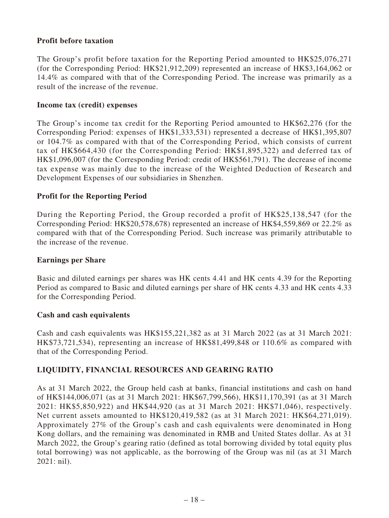## **Profit before taxation**

The Group's profit before taxation for the Reporting Period amounted to HK\$25,076,271 (for the Corresponding Period: HK\$21,912,209) represented an increase of HK\$3,164,062 or 14.4% as compared with that of the Corresponding Period. The increase was primarily as a result of the increase of the revenue.

## **Income tax (credit) expenses**

The Group's income tax credit for the Reporting Period amounted to HK\$62,276 (for the Corresponding Period: expenses of HK\$1,333,531) represented a decrease of HK\$1,395,807 or 104.7% as compared with that of the Corresponding Period, which consists of current tax of HK\$664,430 (for the Corresponding Period: HK\$1,895,322) and deferred tax of HK\$1,096,007 (for the Corresponding Period: credit of HK\$561,791). The decrease of income tax expense was mainly due to the increase of the Weighted Deduction of Research and Development Expenses of our subsidiaries in Shenzhen.

## **Profit for the Reporting Period**

During the Reporting Period, the Group recorded a profit of HK\$25,138,547 (for the Corresponding Period: HK\$20,578,678) represented an increase of HK\$4,559,869 or 22.2% as compared with that of the Corresponding Period. Such increase was primarily attributable to the increase of the revenue.

## **Earnings per Share**

Basic and diluted earnings per shares was HK cents 4.41 and HK cents 4.39 for the Reporting Period as compared to Basic and diluted earnings per share of HK cents 4.33 and HK cents 4.33 for the Corresponding Period.

## **Cash and cash equivalents**

Cash and cash equivalents was HK\$155,221,382 as at 31 March 2022 (as at 31 March 2021: HK\$73,721,534), representing an increase of HK\$81,499,848 or 110.6% as compared with that of the Corresponding Period.

## **LIQUIDITY, FINANCIAL RESOURCES AND GEARING RATIO**

As at 31 March 2022, the Group held cash at banks, financial institutions and cash on hand of HK\$144,006,071 (as at 31 March 2021: HK\$67,799,566), HK\$11,170,391 (as at 31 March 2021: HK\$5,850,922) and HK\$44,920 (as at 31 March 2021: HK\$71,046), respectively. Net current assets amounted to HK\$120,419,582 (as at 31 March 2021: HK\$64,271,019). Approximately 27% of the Group's cash and cash equivalents were denominated in Hong Kong dollars, and the remaining was denominated in RMB and United States dollar. As at 31 March 2022, the Group's gearing ratio (defined as total borrowing divided by total equity plus total borrowing) was not applicable, as the borrowing of the Group was nil (as at 31 March 2021: nil).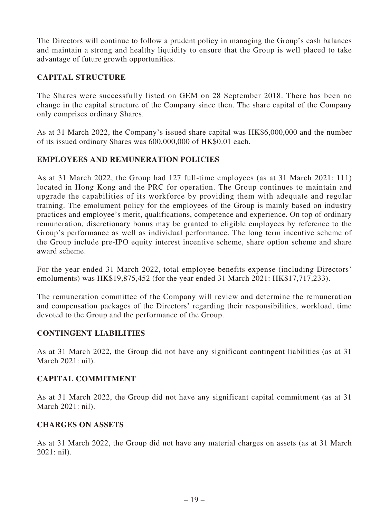The Directors will continue to follow a prudent policy in managing the Group's cash balances and maintain a strong and healthy liquidity to ensure that the Group is well placed to take advantage of future growth opportunities.

# **CAPITAL STRUCTURE**

The Shares were successfully listed on GEM on 28 September 2018. There has been no change in the capital structure of the Company since then. The share capital of the Company only comprises ordinary Shares.

As at 31 March 2022, the Company's issued share capital was HK\$6,000,000 and the number of its issued ordinary Shares was 600,000,000 of HK\$0.01 each.

# **EMPLOYEES AND REMUNERATION POLICIES**

As at 31 March 2022, the Group had 127 full-time employees (as at 31 March 2021: 111) located in Hong Kong and the PRC for operation. The Group continues to maintain and upgrade the capabilities of its workforce by providing them with adequate and regular training. The emolument policy for the employees of the Group is mainly based on industry practices and employee's merit, qualifications, competence and experience. On top of ordinary remuneration, discretionary bonus may be granted to eligible employees by reference to the Group's performance as well as individual performance. The long term incentive scheme of the Group include pre-IPO equity interest incentive scheme, share option scheme and share award scheme.

For the year ended 31 March 2022, total employee benefits expense (including Directors' emoluments) was HK\$19,875,452 (for the year ended 31 March 2021: HK\$17,717,233).

The remuneration committee of the Company will review and determine the remuneration and compensation packages of the Directors' regarding their responsibilities, workload, time devoted to the Group and the performance of the Group.

## **CONTINGENT LIABILITIES**

As at 31 March 2022, the Group did not have any significant contingent liabilities (as at 31 March 2021: nil).

## **CAPITAL COMMITMENT**

As at 31 March 2022, the Group did not have any significant capital commitment (as at 31 March 2021: nil).

## **CHARGES ON ASSETS**

As at 31 March 2022, the Group did not have any material charges on assets (as at 31 March 2021: nil).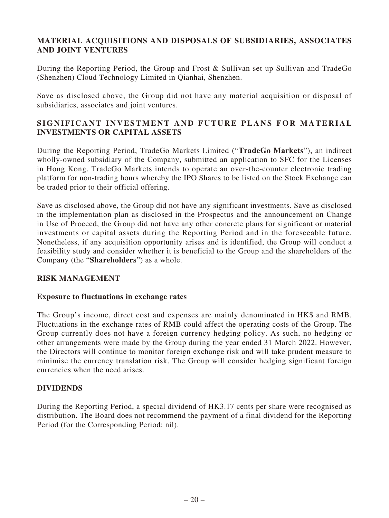# **MATERIAL ACQUISITIONS AND DISPOSALS OF SUBSIDIARIES, ASSOCIATES AND JOINT VENTURES**

During the Reporting Period, the Group and Frost & Sullivan set up Sullivan and TradeGo (Shenzhen) Cloud Technology Limited in Qianhai, Shenzhen.

Save as disclosed above, the Group did not have any material acquisition or disposal of subsidiaries, associates and joint ventures.

# **SIGNIFICANT INVESTMENT AND FUTURE PLANS FOR MATERIAL INVESTMENTS OR CAPITAL ASSETS**

During the Reporting Period, TradeGo Markets Limited ("**TradeGo Markets**"), an indirect wholly-owned subsidiary of the Company, submitted an application to SFC for the Licenses in Hong Kong. TradeGo Markets intends to operate an over-the-counter electronic trading platform for non-trading hours whereby the IPO Shares to be listed on the Stock Exchange can be traded prior to their official offering.

Save as disclosed above, the Group did not have any significant investments. Save as disclosed in the implementation plan as disclosed in the Prospectus and the announcement on Change in Use of Proceed, the Group did not have any other concrete plans for significant or material investments or capital assets during the Reporting Period and in the foreseeable future. Nonetheless, if any acquisition opportunity arises and is identified, the Group will conduct a feasibility study and consider whether it is beneficial to the Group and the shareholders of the Company (the "**Shareholders**") as a whole.

## **RISK MANAGEMENT**

## **Exposure to fluctuations in exchange rates**

The Group's income, direct cost and expenses are mainly denominated in HK\$ and RMB. Fluctuations in the exchange rates of RMB could affect the operating costs of the Group. The Group currently does not have a foreign currency hedging policy. As such, no hedging or other arrangements were made by the Group during the year ended 31 March 2022. However, the Directors will continue to monitor foreign exchange risk and will take prudent measure to minimise the currency translation risk. The Group will consider hedging significant foreign currencies when the need arises.

## **DIVIDENDS**

During the Reporting Period, a special dividend of HK3.17 cents per share were recognised as distribution. The Board does not recommend the payment of a final dividend for the Reporting Period (for the Corresponding Period: nil).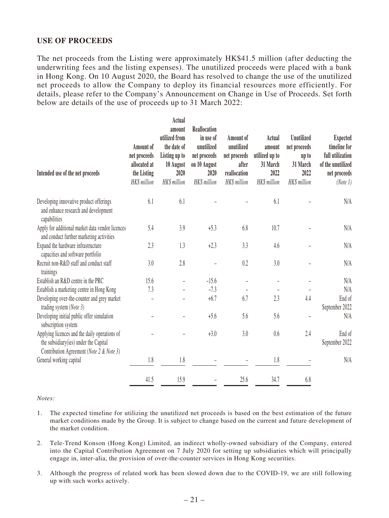## **USE OF PROCEEDS**

The net proceeds from the Listing were approximately HK\$41.5 million (after deducting the underwriting fees and the listing expenses). The unutilized proceeds were placed with a bank in Hong Kong. On 10 August 2020, the Board has resolved to change the use of the unutilized net proceeds to allow the Company to deploy its financial resources more efficiently. For details, please refer to the Company's Announcement on Change in Use of Proceeds. Set forth below are details of the use of proceeds up to 31 March 2022:

| Intended use of the net proceeds                                                                                                    | Amount of<br>net proceeds<br>allocated at<br>the Listing<br>HK\$ million | Actual<br>amount<br>utilized from<br>the date of<br>Listing up to<br>10 August<br>2020<br>HK\$ million | <b>Reallocation</b><br>in use of<br>unutilized<br>net proceeds<br>on 10 August<br>2020<br>HK\$ million | Amount of<br>unutilized<br>net proceeds<br>after<br>reallocation<br>HK\$ million | Actual<br>amount<br>utilized up to<br>31 March<br>2022<br>HK\$ million | <b>Unutilized</b><br>net proceeds<br>up to<br>31 March<br>2022<br>HK\$ million | <b>Expected</b><br>timeline for<br>full utilization<br>of the unutilized<br>net proceeds<br>(Note 1) |
|-------------------------------------------------------------------------------------------------------------------------------------|--------------------------------------------------------------------------|--------------------------------------------------------------------------------------------------------|--------------------------------------------------------------------------------------------------------|----------------------------------------------------------------------------------|------------------------------------------------------------------------|--------------------------------------------------------------------------------|------------------------------------------------------------------------------------------------------|
| Developing innovative product offerings<br>and enhance research and development<br>capabilities                                     | 6.1                                                                      | 6.1                                                                                                    |                                                                                                        |                                                                                  | 6.1                                                                    |                                                                                | N/A                                                                                                  |
| Apply for additional market data vendor licences<br>and conduct further marketing activities                                        | 5.4                                                                      | 3.9                                                                                                    | $+5.3$                                                                                                 | 6.8                                                                              | 10.7                                                                   |                                                                                | N/A                                                                                                  |
| Expand the hardware infrastructure<br>capacities and software portfolio                                                             | 2.3                                                                      | 1.3                                                                                                    | $+2.3$                                                                                                 | 3.3                                                                              | 4.6                                                                    |                                                                                | N/A                                                                                                  |
| Recruit non-R&D staff and conduct staff<br>trainings                                                                                | 3.0                                                                      | 2.8                                                                                                    |                                                                                                        | 0.2                                                                              | 3.0                                                                    |                                                                                | N/A                                                                                                  |
| Establish an R&D centre in the PRC                                                                                                  | 15.6                                                                     |                                                                                                        | $-15.6$                                                                                                |                                                                                  |                                                                        |                                                                                | N/A                                                                                                  |
| Establish a marketing centre in Hong Kong                                                                                           | 7.3                                                                      |                                                                                                        | $-7.3$                                                                                                 |                                                                                  |                                                                        |                                                                                | N/A                                                                                                  |
| Developing over-the-counter and grey market<br>trading system (Note 3)                                                              |                                                                          |                                                                                                        | $+6.7$                                                                                                 | 6.7                                                                              | 2.3                                                                    | 4.4                                                                            | End of<br>September 2022                                                                             |
| Developing initial public offer simulation<br>subscription system                                                                   |                                                                          |                                                                                                        | $+5.6$                                                                                                 | 5.6                                                                              | 5.6                                                                    |                                                                                | N/A                                                                                                  |
| Applying licences and the daily operations of<br>the subsidiary (ies) under the Capital<br>Contribution Agreement (Note 2 & Note 3) |                                                                          |                                                                                                        | $+3.0$                                                                                                 | 3.0                                                                              | 0.6                                                                    | 2.4                                                                            | End of<br>September 2022                                                                             |
| General working capital                                                                                                             | 1.8                                                                      | 1.8                                                                                                    |                                                                                                        |                                                                                  | 1.8                                                                    |                                                                                | N/A                                                                                                  |
|                                                                                                                                     | 41.5                                                                     | 15.9                                                                                                   |                                                                                                        | 25.6                                                                             | 34.7                                                                   | 6.8                                                                            |                                                                                                      |

*Notes:*

- 1. The expected timeline for utilizing the unutilized net proceeds is based on the best estimation of the future market conditions made by the Group. It is subject to change based on the current and future development of the market condition.
- 2. Tele-Trend Konson (Hong Kong) Limited, an indirect wholly-owned subsidiary of the Company, entered into the Capital Contribution Agreement on 7 July 2020 for setting up subsidiaries which will principally engage in, inter-alia, the provision of over-the-counter services in Hong Kong securities.
- 3. Although the progress of related work has been slowed down due to the COVID-19, we are still following up with such works actively.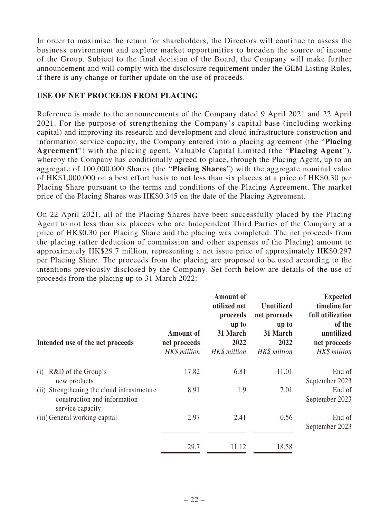In order to maximise the return for shareholders, the Directors will continue to assess the business environment and explore market opportunities to broaden the source of income of the Group. Subject to the final decision of the Board, the Company will make further announcement and will comply with the disclosure requirement under the GEM Listing Rules, if there is any change or further update on the use of proceeds.

## **USE OF NET PROCEEDS FROM PLACING**

Reference is made to the announcements of the Company dated 9 April 2021 and 22 April 2021. For the purpose of strengthening the Company's capital base (including working capital) and improving its research and development and cloud infrastructure construction and information service capacity, the Company entered into a placing agreement (the "**Placing Agreement**") with the placing agent, Valuable Capital Limited (the "**Placing Agent**"), whereby the Company has conditionally agreed to place, through the Placing Agent, up to an aggregate of 100,000,000 Shares (the "**Placing Shares**") with the aggregate nominal value of HK\$1,000,000 on a best effort basis to not less than six placees at a price of HK\$0.30 per Placing Share pursuant to the terms and conditions of the Placing Agreement. The market price of the Placing Shares was HK\$0.345 on the date of the Placing Agreement.

On 22 April 2021, all of the Placing Shares have been successfully placed by the Placing Agent to not less than six placees who are Independent Third Parties of the Company at a price of HK\$0.30 per Placing Share and the placing was completed. The net proceeds from the placing (after deduction of commission and other expenses of the Placing) amount to approximately HK\$29.7 million, representing a net issue price of approximately HK\$0.297 per Placing Share. The proceeds from the placing are proposed to be used according to the intentions previously disclosed by the Company. Set forth below are details of the use of proceeds from the placing up to 31 March 2022:

| Intended use of the net proceeds                                                                | <b>Amount of</b><br>net proceeds<br>HK\$ million | <b>Amount of</b><br>utilized net<br>proceeds<br>up to<br>31 March<br>2022<br>HK\$ million | <b>Unutilized</b><br>net proceeds<br>up to<br>31 March<br>2022<br>HK\$ million | <b>Expected</b><br>timeline for<br>full utilization<br>of the<br>unutilized<br>net proceeds<br>HK\$ million |
|-------------------------------------------------------------------------------------------------|--------------------------------------------------|-------------------------------------------------------------------------------------------|--------------------------------------------------------------------------------|-------------------------------------------------------------------------------------------------------------|
| R&D of the Group's<br>(i)<br>new products                                                       | 17.82                                            | 6.81                                                                                      | 11.01                                                                          | End of<br>September 2023                                                                                    |
| (ii) Strengthening the cloud infrastructure<br>construction and information<br>service capacity | 8.91                                             | 1.9                                                                                       | 7.01                                                                           | End of<br>September 2023                                                                                    |
| (iii) General working capital                                                                   | 2.97                                             | 2.41                                                                                      | 0.56                                                                           | End of<br>September 2023                                                                                    |
|                                                                                                 | 29.7                                             | 11.12                                                                                     | 18.58                                                                          |                                                                                                             |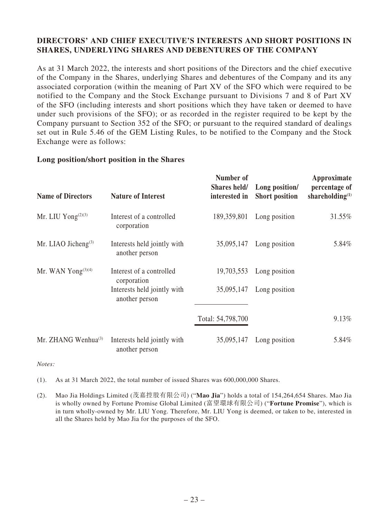# **DIRECTORS' AND CHIEF EXECUTIVE'S INTERESTS AND SHORT POSITIONS IN SHARES, UNDERLYING SHARES AND DEBENTURES OF THE COMPANY**

As at 31 March 2022, the interests and short positions of the Directors and the chief executive of the Company in the Shares, underlying Shares and debentures of the Company and its any associated corporation (within the meaning of Part XV of the SFO which were required to be notified to the Company and the Stock Exchange pursuant to Divisions 7 and 8 of Part XV of the SFO (including interests and short positions which they have taken or deemed to have under such provisions of the SFO); or as recorded in the register required to be kept by the Company pursuant to Section 352 of the SFO; or pursuant to the required standard of dealings set out in Rule 5.46 of the GEM Listing Rules, to be notified to the Company and the Stock Exchange were as follows:

## **Long position/short position in the Shares**

| <b>Name of Directors</b>       | <b>Nature of Interest</b>                     | Number of<br>Shares held/<br>interested in | Long position/<br><b>Short position</b> | Approximate<br>percentage of<br>shareholding $(1)$ |
|--------------------------------|-----------------------------------------------|--------------------------------------------|-----------------------------------------|----------------------------------------------------|
| Mr. LIU Yong <sup>(2)(3)</sup> | Interest of a controlled<br>corporation       | 189,359,801                                | Long position                           | 31.55%                                             |
| Mr. LIAO Jicheng $(3)$         | Interests held jointly with<br>another person | 35,095,147                                 | Long position                           | 5.84%                                              |
| Mr. WAN Yong $(3)(4)$          | Interest of a controlled<br>corporation       | 19,703,553                                 | Long position                           |                                                    |
|                                | Interests held jointly with<br>another person | 35,095,147                                 | Long position                           |                                                    |
|                                |                                               | Total: 54,798,700                          |                                         | $9.13\%$                                           |
| Mr. ZHANG Wenhua $^{(3)}$      | Interests held jointly with<br>another person | 35,095,147                                 | Long position                           | 5.84%                                              |

*Notes:*

(1). As at 31 March 2022, the total number of issued Shares was 600,000,000 Shares.

(2). Mao Jia Holdings Limited (茂嘉控股有限公司) ("**Mao Jia**") holds a total of 154,264,654 Shares. Mao Jia is wholly owned by Fortune Promise Global Limited (富望環球有限公司) ("**Fortune Promise**"), which is in turn wholly-owned by Mr. LIU Yong. Therefore, Mr. LIU Yong is deemed, or taken to be, interested in all the Shares held by Mao Jia for the purposes of the SFO.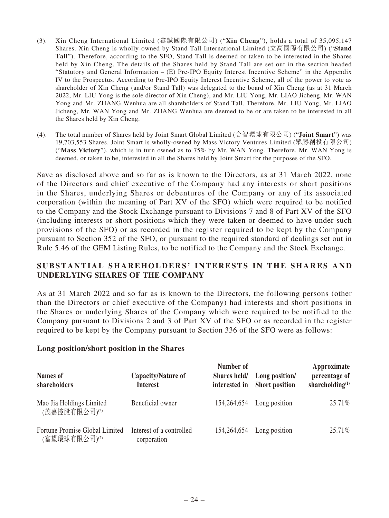- (3). Xin Cheng International Limited (鑫誠國際有限公司) ("**Xin Cheng**"), holds a total of 35,095,147 Shares. Xin Cheng is wholly-owned by Stand Tall International Limited (立高國際有限公司) ("**Stand Tall**"). Therefore, according to the SFO, Stand Tall is deemed or taken to be interested in the Shares held by Xin Cheng. The details of the Shares held by Stand Tall are set out in the section headed "Statutory and General Information – (E) Pre-IPO Equity Interest Incentive Scheme" in the Appendix IV to the Prospectus. According to Pre-IPO Equity Interest Incentive Scheme, all of the power to vote as shareholder of Xin Cheng (and/or Stand Tall) was delegated to the board of Xin Cheng (as at 31 March 2022, Mr. LIU Yong is the sole director of Xin Cheng), and Mr. LIU Yong, Mr. LIAO Jicheng, Mr. WAN Yong and Mr. ZHANG Wenhua are all shareholders of Stand Tall. Therefore, Mr. LIU Yong, Mr. LIAO Jicheng, Mr. WAN Yong and Mr. ZHANG Wenhua are deemed to be or are taken to be interested in all the Shares held by Xin Cheng.
- (4). The total number of Shares held by Joint Smart Global Limited (合智環球有限公司) ("**Joint Smart**") was 19,703,553 Shares. Joint Smart is wholly-owned by Mass Victory Ventures Limited (眾勝創投有限公司) ("**Mass Victory**"), which is in turn owned as to 75% by Mr. WAN Yong. Therefore, Mr. WAN Yong is deemed, or taken to be, interested in all the Shares held by Joint Smart for the purposes of the SFO.

Save as disclosed above and so far as is known to the Directors, as at 31 March 2022, none of the Directors and chief executive of the Company had any interests or short positions in the Shares, underlying Shares or debentures of the Company or any of its associated corporation (within the meaning of Part XV of the SFO) which were required to be notified to the Company and the Stock Exchange pursuant to Divisions 7 and 8 of Part XV of the SFO (including interests or short positions which they were taken or deemed to have under such provisions of the SFO) or as recorded in the register required to be kept by the Company pursuant to Section 352 of the SFO, or pursuant to the required standard of dealings set out in Rule 5.46 of the GEM Listing Rules, to be notified to the Company and the Stock Exchange.

## **SUBSTANTIAL SHAREHOLDERS' INTERESTS IN THE SHARES AND UNDERLYING SHARES OF THE COMPANY**

As at 31 March 2022 and so far as is known to the Directors, the following persons (other than the Directors or chief executive of the Company) had interests and short positions in the Shares or underlying Shares of the Company which were required to be notified to the Company pursuant to Divisions 2 and 3 of Part XV of the SFO or as recorded in the register required to be kept by the Company pursuant to Section 336 of the SFO were as follows:

## **Long position/short position in the Shares**

| <b>Names of</b><br>shareholders               | Capacity/Nature of<br><b>Interest</b>   | Number of   | Shares held/ Long position/<br>interested in Short position | Approximate<br>percentage of<br>shareholding $(1)$ |
|-----------------------------------------------|-----------------------------------------|-------------|-------------------------------------------------------------|----------------------------------------------------|
| Mao Jia Holdings Limited<br>(茂嘉控股有限公司)(2)     | Beneficial owner                        | 154,264,654 | Long position                                               | 25.71%                                             |
| Fortune Promise Global Limited<br>(富望環球有限公司)⑵ | Interest of a controlled<br>corporation |             | $154,264,654$ Long position                                 | 25.71%                                             |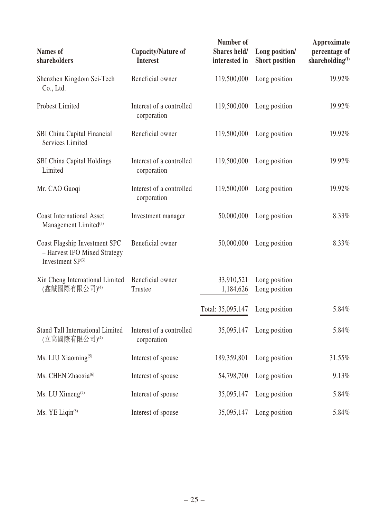| <b>Names</b> of<br>shareholders                                                   | Capacity/Nature of<br><b>Interest</b>   | Number of<br>Shares held/<br>interested in | Long position/<br><b>Short position</b> | Approximate<br>percentage of<br>shareholding <sup>(1)</sup> |
|-----------------------------------------------------------------------------------|-----------------------------------------|--------------------------------------------|-----------------------------------------|-------------------------------------------------------------|
| Shenzhen Kingdom Sci-Tech<br>Co., Ltd.                                            | Beneficial owner                        | 119,500,000                                | Long position                           | 19.92%                                                      |
| Probest Limited                                                                   | Interest of a controlled<br>corporation | 119,500,000                                | Long position                           | 19.92%                                                      |
| SBI China Capital Financial<br><b>Services Limited</b>                            | Beneficial owner                        | 119,500,000                                | Long position                           | 19.92%                                                      |
| <b>SBI China Capital Holdings</b><br>Limited                                      | Interest of a controlled<br>corporation | 119,500,000                                | Long position                           | 19.92%                                                      |
| Mr. CAO Guoqi                                                                     | Interest of a controlled<br>corporation | 119,500,000                                | Long position                           | 19.92%                                                      |
| <b>Coast International Asset</b><br>Management Limited <sup>(3)</sup>             | Investment manager                      | 50,000,000                                 | Long position                           | 8.33%                                                       |
| Coast Flagship Investment SPC<br>- Harvest IPO Mixed Strategy<br>Investment SP(3) | Beneficial owner                        | 50,000,000                                 | Long position                           | 8.33%                                                       |
| Xin Cheng International Limited<br>(鑫誠國際有限公司)⑷                                    | Beneficial owner<br>Trustee             | 33,910,521<br>1,184,626                    | Long position<br>Long position          |                                                             |
|                                                                                   |                                         | Total: 35,095,147                          | Long position                           | 5.84%                                                       |
| Stand Tall International Limited Interest of a controlled<br>(立高國際有限公司)(4)        | corporation                             |                                            | 35,095,147 Long position                | 5.84%                                                       |
| Ms. LIU Xiaoming <sup>(5)</sup>                                                   | Interest of spouse                      | 189,359,801                                | Long position                           | 31.55%                                                      |
| Ms. CHEN Zhaoxia <sup>(6)</sup>                                                   | Interest of spouse                      | 54,798,700                                 | Long position                           | 9.13%                                                       |
| Ms. LU Ximeng <sup>(7)</sup>                                                      | Interest of spouse                      | 35,095,147                                 | Long position                           | 5.84%                                                       |
| Ms. YE Liqin <sup>(8)</sup>                                                       | Interest of spouse                      | 35,095,147                                 | Long position                           | 5.84%                                                       |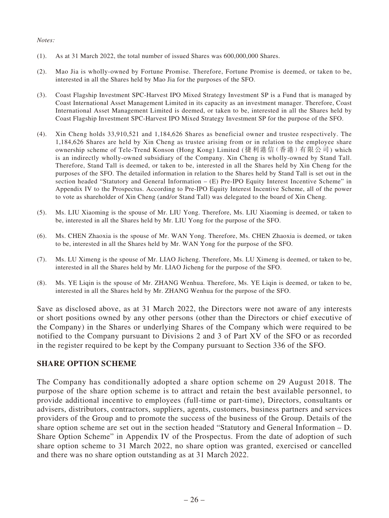#### *Notes:*

- (1). As at 31 March 2022, the total number of issued Shares was 600,000,000 Shares.
- (2). Mao Jia is wholly-owned by Fortune Promise. Therefore, Fortune Promise is deemed, or taken to be, interested in all the Shares held by Mao Jia for the purposes of the SFO.
- (3). Coast Flagship Investment SPC-Harvest IPO Mixed Strategy Investment SP is a Fund that is managed by Coast International Asset Management Limited in its capacity as an investment manager. Therefore, Coast International Asset Management Limited is deemed, or taken to be, interested in all the Shares held by Coast Flagship Investment SPC-Harvest IPO Mixed Strategy Investment SP for the purpose of the SFO.
- (4). Xin Cheng holds 33,910,521 and 1,184,626 Shares as beneficial owner and trustee respectively. The 1,184,626 Shares are held by Xin Cheng as trustee arising from or in relation to the employee share ownership scheme of Tele-Trend Konson (Hong Kong) Limited (捷利港信(香港)有限公司) which is an indirectly wholly-owned subsidiary of the Company. Xin Cheng is wholly-owned by Stand Tall. Therefore, Stand Tall is deemed, or taken to be, interested in all the Shares held by Xin Cheng for the purposes of the SFO. The detailed information in relation to the Shares held by Stand Tall is set out in the section headed "Statutory and General Information – (E) Pre-IPO Equity Interest Incentive Scheme" in Appendix IV to the Prospectus. According to Pre-IPO Equity Interest Incentive Scheme, all of the power to vote as shareholder of Xin Cheng (and/or Stand Tall) was delegated to the board of Xin Cheng.
- (5). Ms. LIU Xiaoming is the spouse of Mr. LIU Yong. Therefore, Ms. LIU Xiaoming is deemed, or taken to be, interested in all the Shares held by Mr. LIU Yong for the purpose of the SFO.
- (6). Ms. CHEN Zhaoxia is the spouse of Mr. WAN Yong. Therefore, Ms. CHEN Zhaoxia is deemed, or taken to be, interested in all the Shares held by Mr. WAN Yong for the purpose of the SFO.
- (7). Ms. LU Ximeng is the spouse of Mr. LIAO Jicheng. Therefore, Ms. LU Ximeng is deemed, or taken to be, interested in all the Shares held by Mr. LIAO Jicheng for the purpose of the SFO.
- (8). Ms. YE Liqin is the spouse of Mr. ZHANG Wenhua. Therefore, Ms. YE Liqin is deemed, or taken to be, interested in all the Shares held by Mr. ZHANG Wenhua for the purpose of the SFO.

Save as disclosed above, as at 31 March 2022, the Directors were not aware of any interests or short positions owned by any other persons (other than the Directors or chief executive of the Company) in the Shares or underlying Shares of the Company which were required to be notified to the Company pursuant to Divisions 2 and 3 of Part XV of the SFO or as recorded in the register required to be kept by the Company pursuant to Section 336 of the SFO.

## **SHARE OPTION SCHEME**

The Company has conditionally adopted a share option scheme on 29 August 2018. The purpose of the share option scheme is to attract and retain the best available personnel, to provide additional incentive to employees (full-time or part-time), Directors, consultants or advisers, distributors, contractors, suppliers, agents, customers, business partners and services providers of the Group and to promote the success of the business of the Group. Details of the share option scheme are set out in the section headed "Statutory and General Information – D. Share Option Scheme" in Appendix IV of the Prospectus. From the date of adoption of such share option scheme to 31 March 2022, no share option was granted, exercised or cancelled and there was no share option outstanding as at 31 March 2022.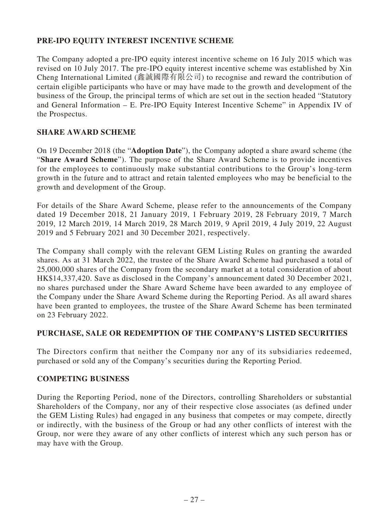# **PRE-IPO EQUITY INTEREST INCENTIVE SCHEME**

The Company adopted a pre-IPO equity interest incentive scheme on 16 July 2015 which was revised on 10 July 2017. The pre-IPO equity interest incentive scheme was established by Xin Cheng International Limited (鑫誠國際有限公司) to recognise and reward the contribution of certain eligible participants who have or may have made to the growth and development of the business of the Group, the principal terms of which are set out in the section headed "Statutory and General Information – E. Pre-IPO Equity Interest Incentive Scheme" in Appendix IV of the Prospectus.

## **SHARE AWARD SCHEME**

On 19 December 2018 (the "**Adoption Date**"), the Company adopted a share award scheme (the "**Share Award Scheme**"). The purpose of the Share Award Scheme is to provide incentives for the employees to continuously make substantial contributions to the Group's long-term growth in the future and to attract and retain talented employees who may be beneficial to the growth and development of the Group.

For details of the Share Award Scheme, please refer to the announcements of the Company dated 19 December 2018, 21 January 2019, 1 February 2019, 28 February 2019, 7 March 2019, 12 March 2019, 14 March 2019, 28 March 2019, 9 April 2019, 4 July 2019, 22 August 2019 and 5 February 2021 and 30 December 2021, respectively.

The Company shall comply with the relevant GEM Listing Rules on granting the awarded shares. As at 31 March 2022, the trustee of the Share Award Scheme had purchased a total of 25,000,000 shares of the Company from the secondary market at a total consideration of about HK\$14,337,420. Save as disclosed in the Company's announcement dated 30 December 2021, no shares purchased under the Share Award Scheme have been awarded to any employee of the Company under the Share Award Scheme during the Reporting Period. As all award shares have been granted to employees, the trustee of the Share Award Scheme has been terminated on 23 February 2022.

## **PURCHASE, SALE OR REDEMPTION OF THE COMPANY'S LISTED SECURITIES**

The Directors confirm that neither the Company nor any of its subsidiaries redeemed, purchased or sold any of the Company's securities during the Reporting Period.

## **COMPETING BUSINESS**

During the Reporting Period, none of the Directors, controlling Shareholders or substantial Shareholders of the Company, nor any of their respective close associates (as defined under the GEM Listing Rules) had engaged in any business that competes or may compete, directly or indirectly, with the business of the Group or had any other conflicts of interest with the Group, nor were they aware of any other conflicts of interest which any such person has or may have with the Group.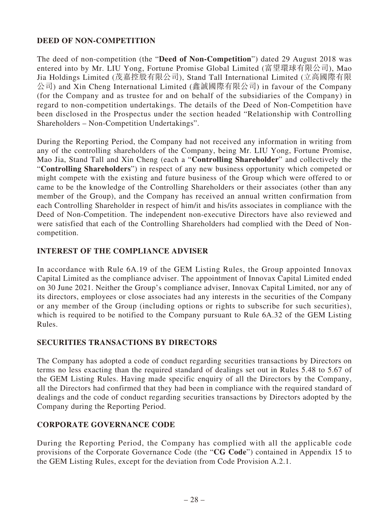# **DEED OF NON-COMPETITION**

The deed of non-competition (the "**Deed of Non-Competition**") dated 29 August 2018 was entered into by Mr. LIU Yong, Fortune Promise Global Limited (富望環球有限公司), Mao Jia Holdings Limited (茂嘉控股有限公司), Stand Tall International Limited (立高國際有限 公司) and Xin Cheng International Limited (鑫誠國際有限公司) in favour of the Company (for the Company and as trustee for and on behalf of the subsidiaries of the Company) in regard to non-competition undertakings. The details of the Deed of Non-Competition have been disclosed in the Prospectus under the section headed "Relationship with Controlling Shareholders – Non-Competition Undertakings".

During the Reporting Period, the Company had not received any information in writing from any of the controlling shareholders of the Company, being Mr. LIU Yong, Fortune Promise, Mao Jia, Stand Tall and Xin Cheng (each a "**Controlling Shareholder**" and collectively the "**Controlling Shareholders**") in respect of any new business opportunity which competed or might compete with the existing and future business of the Group which were offered to or came to be the knowledge of the Controlling Shareholders or their associates (other than any member of the Group), and the Company has received an annual written confirmation from each Controlling Shareholder in respect of him/it and his/its associates in compliance with the Deed of Non-Competition. The independent non-executive Directors have also reviewed and were satisfied that each of the Controlling Shareholders had complied with the Deed of Noncompetition.

## **INTEREST OF THE COMPLIANCE ADVISER**

In accordance with Rule 6A.19 of the GEM Listing Rules, the Group appointed Innovax Capital Limited as the compliance adviser. The appointment of Innovax Capital Limited ended on 30 June 2021. Neither the Group's compliance adviser, Innovax Capital Limited, nor any of its directors, employees or close associates had any interests in the securities of the Company or any member of the Group (including options or rights to subscribe for such securities), which is required to be notified to the Company pursuant to Rule 6A.32 of the GEM Listing Rules.

## **SECURITIES TRANSACTIONS BY DIRECTORS**

The Company has adopted a code of conduct regarding securities transactions by Directors on terms no less exacting than the required standard of dealings set out in Rules 5.48 to 5.67 of the GEM Listing Rules. Having made specific enquiry of all the Directors by the Company, all the Directors had confirmed that they had been in compliance with the required standard of dealings and the code of conduct regarding securities transactions by Directors adopted by the Company during the Reporting Period.

# **CORPORATE GOVERNANCE CODE**

During the Reporting Period, the Company has complied with all the applicable code provisions of the Corporate Governance Code (the "**CG Code**") contained in Appendix 15 to the GEM Listing Rules, except for the deviation from Code Provision A.2.1.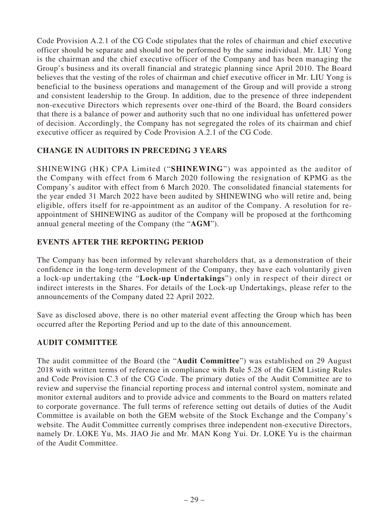Code Provision A.2.1 of the CG Code stipulates that the roles of chairman and chief executive officer should be separate and should not be performed by the same individual. Mr. LIU Yong is the chairman and the chief executive officer of the Company and has been managing the Group's business and its overall financial and strategic planning since April 2010. The Board believes that the vesting of the roles of chairman and chief executive officer in Mr. LIU Yong is beneficial to the business operations and management of the Group and will provide a strong and consistent leadership to the Group. In addition, due to the presence of three independent non-executive Directors which represents over one-third of the Board, the Board considers that there is a balance of power and authority such that no one individual has unfettered power of decision. Accordingly, the Company has not segregated the roles of its chairman and chief executive officer as required by Code Provision A.2.1 of the CG Code.

# **CHANGE IN AUDITORS IN PRECEDING 3 YEARS**

SHINEWING (HK) CPA Limited ("**SHINEWING**") was appointed as the auditor of the Company with effect from 6 March 2020 following the resignation of KPMG as the Company's auditor with effect from 6 March 2020. The consolidated financial statements for the year ended 31 March 2022 have been audited by SHINEWING who will retire and, being eligible, offers itself for re-appointment as an auditor of the Company. A resolution for reappointment of SHINEWING as auditor of the Company will be proposed at the forthcoming annual general meeting of the Company (the "**AGM**").

# **EVENTS AFTER THE REPORTING PERIOD**

The Company has been informed by relevant shareholders that, as a demonstration of their confidence in the long-term development of the Company, they have each voluntarily given a lock-up undertaking (the "**Lock-up Undertakings**") only in respect of their direct or indirect interests in the Shares. For details of the Lock-up Undertakings, please refer to the announcements of the Company dated 22 April 2022.

Save as disclosed above, there is no other material event affecting the Group which has been occurred after the Reporting Period and up to the date of this announcement.

## **AUDIT COMMITTEE**

The audit committee of the Board (the "**Audit Committee**") was established on 29 August 2018 with written terms of reference in compliance with Rule 5.28 of the GEM Listing Rules and Code Provision C.3 of the CG Code. The primary duties of the Audit Committee are to review and supervise the financial reporting process and internal control system, nominate and monitor external auditors and to provide advice and comments to the Board on matters related to corporate governance. The full terms of reference setting out details of duties of the Audit Committee is available on both the GEM website of the Stock Exchange and the Company's website. The Audit Committee currently comprises three independent non-executive Directors, namely Dr. LOKE Yu, Ms. JIAO Jie and Mr. MAN Kong Yui. Dr. LOKE Yu is the chairman of the Audit Committee.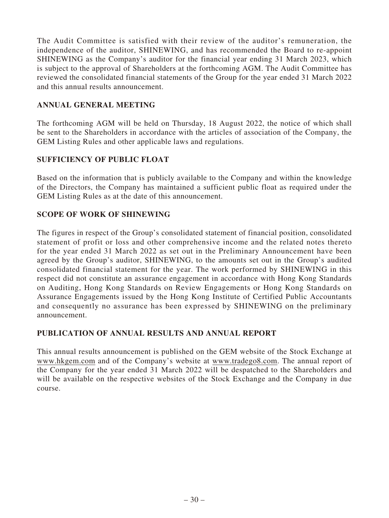The Audit Committee is satisfied with their review of the auditor's remuneration, the independence of the auditor, SHINEWING, and has recommended the Board to re-appoint SHINEWING as the Company's auditor for the financial year ending 31 March 2023, which is subject to the approval of Shareholders at the forthcoming AGM. The Audit Committee has reviewed the consolidated financial statements of the Group for the year ended 31 March 2022 and this annual results announcement.

## **ANNUAL GENERAL MEETING**

The forthcoming AGM will be held on Thursday, 18 August 2022, the notice of which shall be sent to the Shareholders in accordance with the articles of association of the Company, the GEM Listing Rules and other applicable laws and regulations.

## **SUFFICIENCY OF PUBLIC FLOAT**

Based on the information that is publicly available to the Company and within the knowledge of the Directors, the Company has maintained a sufficient public float as required under the GEM Listing Rules as at the date of this announcement.

# **SCOPE OF WORK OF SHINEWING**

The figures in respect of the Group's consolidated statement of financial position, consolidated statement of profit or loss and other comprehensive income and the related notes thereto for the year ended 31 March 2022 as set out in the Preliminary Announcement have been agreed by the Group's auditor, SHINEWING, to the amounts set out in the Group's audited consolidated financial statement for the year. The work performed by SHINEWING in this respect did not constitute an assurance engagement in accordance with Hong Kong Standards on Auditing, Hong Kong Standards on Review Engagements or Hong Kong Standards on Assurance Engagements issued by the Hong Kong Institute of Certified Public Accountants and consequently no assurance has been expressed by SHINEWING on the preliminary announcement.

## **PUBLICATION OF ANNUAL RESULTS AND ANNUAL REPORT**

This annual results announcement is published on the GEM website of the Stock Exchange at www.hkgem.com and of the Company's website at www.tradego8.com. The annual report of the Company for the year ended 31 March 2022 will be despatched to the Shareholders and will be available on the respective websites of the Stock Exchange and the Company in due course.